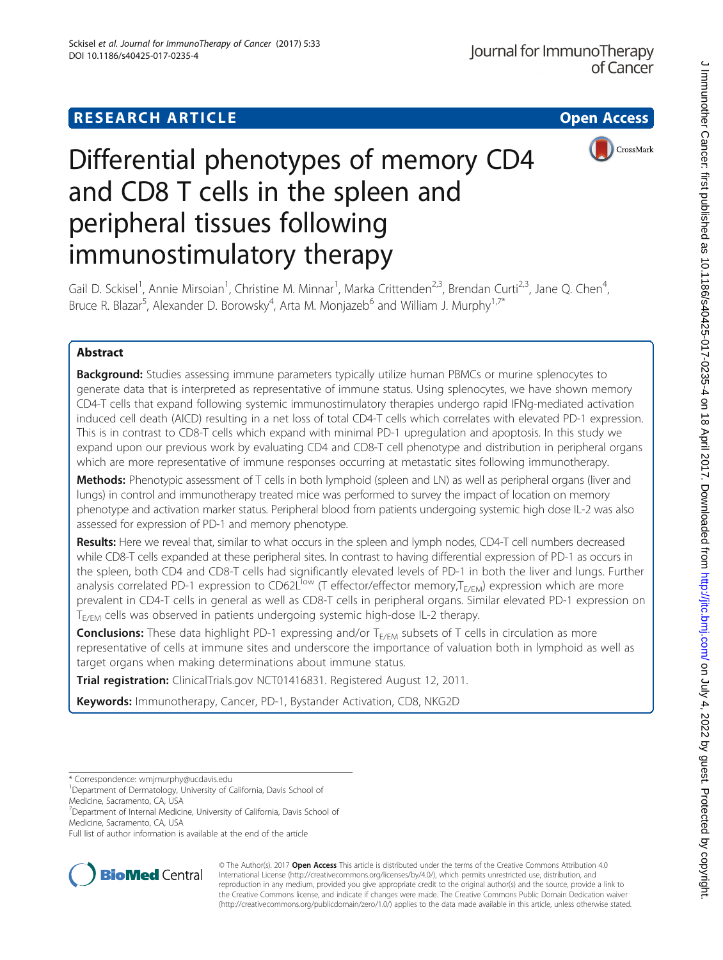# **RESEARCH ARTICLE Example 2014 12:30 The Contract of Contract Contract Open Access**



# Differential phenotypes of memory CD4 and CD8 T cells in the spleen and peripheral tissues following immunostimulatory therapy

Gail D. Sckisel<sup>1</sup>, Annie Mirsoian<sup>1</sup>, Christine M. Minnar<sup>1</sup>, Marka Crittenden<sup>2,3</sup>, Brendan Curti<sup>2,3</sup>, Jane Q. Chen<sup>4</sup> , Bruce R. Blazar<sup>5</sup>, Alexander D. Borowsky<sup>4</sup>, Arta M. Monjazeb<sup>6</sup> and William J. Murphy<sup>1,7\*</sup>

# Abstract

**Background:** Studies assessing immune parameters typically utilize human PBMCs or murine splenocytes to generate data that is interpreted as representative of immune status. Using splenocytes, we have shown memory CD4-T cells that expand following systemic immunostimulatory therapies undergo rapid IFNg-mediated activation induced cell death (AICD) resulting in a net loss of total CD4-T cells which correlates with elevated PD-1 expression. This is in contrast to CD8-T cells which expand with minimal PD-1 upregulation and apoptosis. In this study we expand upon our previous work by evaluating CD4 and CD8-T cell phenotype and distribution in peripheral organs which are more representative of immune responses occurring at metastatic sites following immunotherapy.

Methods: Phenotypic assessment of T cells in both lymphoid (spleen and LN) as well as peripheral organs (liver and lungs) in control and immunotherapy treated mice was performed to survey the impact of location on memory phenotype and activation marker status. Peripheral blood from patients undergoing systemic high dose IL-2 was also assessed for expression of PD-1 and memory phenotype.

Results: Here we reveal that, similar to what occurs in the spleen and lymph nodes, CD4-T cell numbers decreased while CD8-T cells expanded at these peripheral sites. In contrast to having differential expression of PD-1 as occurs in the spleen, both CD4 and CD8-T cells had significantly elevated levels of PD-1 in both the liver and lungs. Further analysis correlated PD-1 expression to CD62L<sup>low</sup> (T effector/effector memory,  $T_{E/EM}$ ) expression which are more prevalent in CD4-T cells in general as well as CD8-T cells in peripheral organs. Similar elevated PD-1 expression on T<sub>E/EM</sub> cells was observed in patients undergoing systemic high-dose IL-2 therapy.

**Conclusions:** These data highlight PD-1 expressing and/or  $T_{E/EM}$  subsets of T cells in circulation as more representative of cells at immune sites and underscore the importance of valuation both in lymphoid as well as target organs when making determinations about immune status.

Trial registration: ClinicalTrials.gov [NCT01416831.](https://clinicaltrials.gov/ct2/show/NCT01416831) Registered August 12, 2011.

Keywords: Immunotherapy, Cancer, PD-1, Bystander Activation, CD8, NKG2D

Full list of author information is available at the end of the article



© The Author(s). 2017 **Open Access** This article is distributed under the terms of the Creative Commons Attribution 4.0 International License [\(http://creativecommons.org/licenses/by/4.0/](http://creativecommons.org/licenses/by/4.0/)), which permits unrestricted use, distribution, and reproduction in any medium, provided you give appropriate credit to the original author(s) and the source, provide a link to the Creative Commons license, and indicate if changes were made. The Creative Commons Public Domain Dedication waiver [\(http://creativecommons.org/publicdomain/zero/1.0/](http://creativecommons.org/publicdomain/zero/1.0/)) applies to the data made available in this article, unless otherwise stated.

<sup>\*</sup> Correspondence: [wmjmurphy@ucdavis.edu](mailto:wmjmurphy@ucdavis.edu) <sup>1</sup>

<sup>&</sup>lt;sup>1</sup>Department of Dermatology, University of California, Davis School of

Medicine, Sacramento, CA, USA

<sup>&</sup>lt;sup>7</sup>Department of Internal Medicine, University of California, Davis School of Medicine, Sacramento, CA, USA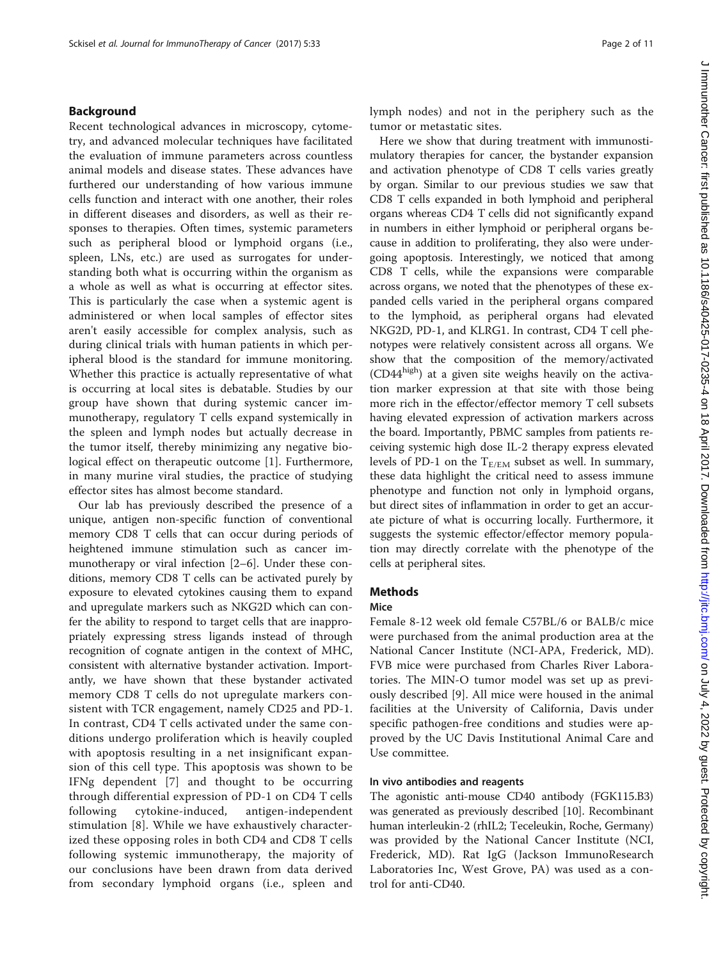#### Background

Recent technological advances in microscopy, cytometry, and advanced molecular techniques have facilitated the evaluation of immune parameters across countless animal models and disease states. These advances have furthered our understanding of how various immune cells function and interact with one another, their roles in different diseases and disorders, as well as their responses to therapies. Often times, systemic parameters such as peripheral blood or lymphoid organs (i.e., spleen, LNs, etc.) are used as surrogates for understanding both what is occurring within the organism as a whole as well as what is occurring at effector sites. This is particularly the case when a systemic agent is administered or when local samples of effector sites aren't easily accessible for complex analysis, such as during clinical trials with human patients in which peripheral blood is the standard for immune monitoring. Whether this practice is actually representative of what is occurring at local sites is debatable. Studies by our group have shown that during systemic cancer immunotherapy, regulatory T cells expand systemically in the spleen and lymph nodes but actually decrease in the tumor itself, thereby minimizing any negative biological effect on therapeutic outcome [\[1](#page-10-0)]. Furthermore, in many murine viral studies, the practice of studying effector sites has almost become standard.

Our lab has previously described the presence of a unique, antigen non-specific function of conventional memory CD8 T cells that can occur during periods of heightened immune stimulation such as cancer immunotherapy or viral infection [[2](#page-10-0)–[6](#page-10-0)]. Under these conditions, memory CD8 T cells can be activated purely by exposure to elevated cytokines causing them to expand and upregulate markers such as NKG2D which can confer the ability to respond to target cells that are inappropriately expressing stress ligands instead of through recognition of cognate antigen in the context of MHC, consistent with alternative bystander activation. Importantly, we have shown that these bystander activated memory CD8 T cells do not upregulate markers consistent with TCR engagement, namely CD25 and PD-1. In contrast, CD4 T cells activated under the same conditions undergo proliferation which is heavily coupled with apoptosis resulting in a net insignificant expansion of this cell type. This apoptosis was shown to be IFNg dependent [[7\]](#page-10-0) and thought to be occurring through differential expression of PD-1 on CD4 T cells following cytokine-induced, antigen-independent stimulation [[8\]](#page-10-0). While we have exhaustively characterized these opposing roles in both CD4 and CD8 T cells following systemic immunotherapy, the majority of our conclusions have been drawn from data derived from secondary lymphoid organs (i.e., spleen and J Immunother Cancer: first published as 10.1186/s40425-017-0235-4 on 18 April 2017. Downloaded from http://jjtc.bmj.com/ on July 4, 2022 by guest. Protected by copyright J Immunother Cancer: first published as 10.1186/s40425-017-0235-4 on 18 April 2017. Downloaded from <http://jitc.bmj.com/> on July 4, 2022 by guest. Protected by copyright.

lymph nodes) and not in the periphery such as the tumor or metastatic sites.

Here we show that during treatment with immunostimulatory therapies for cancer, the bystander expansion and activation phenotype of CD8 T cells varies greatly by organ. Similar to our previous studies we saw that CD8 T cells expanded in both lymphoid and peripheral organs whereas CD4 T cells did not significantly expand in numbers in either lymphoid or peripheral organs because in addition to proliferating, they also were undergoing apoptosis. Interestingly, we noticed that among CD8 T cells, while the expansions were comparable across organs, we noted that the phenotypes of these expanded cells varied in the peripheral organs compared to the lymphoid, as peripheral organs had elevated NKG2D, PD-1, and KLRG1. In contrast, CD4 T cell phenotypes were relatively consistent across all organs. We show that the composition of the memory/activated  $(CD44^{high})$  at a given site weighs heavily on the activation marker expression at that site with those being more rich in the effector/effector memory T cell subsets having elevated expression of activation markers across the board. Importantly, PBMC samples from patients receiving systemic high dose IL-2 therapy express elevated levels of PD-1 on the  $T_{E/EM}$  subset as well. In summary, these data highlight the critical need to assess immune phenotype and function not only in lymphoid organs, but direct sites of inflammation in order to get an accurate picture of what is occurring locally. Furthermore, it suggests the systemic effector/effector memory population may directly correlate with the phenotype of the cells at peripheral sites.

### **Methods**

#### Mice

Female 8-12 week old female C57BL/6 or BALB/c mice were purchased from the animal production area at the National Cancer Institute (NCI-APA, Frederick, MD). FVB mice were purchased from Charles River Laboratories. The MIN-O tumor model was set up as previously described [\[9](#page-10-0)]. All mice were housed in the animal facilities at the University of California, Davis under specific pathogen-free conditions and studies were approved by the UC Davis Institutional Animal Care and Use committee.

#### In vivo antibodies and reagents

The agonistic anti-mouse CD40 antibody (FGK115.B3) was generated as previously described [[10](#page-10-0)]. Recombinant human interleukin-2 (rhIL2; Teceleukin, Roche, Germany) was provided by the National Cancer Institute (NCI, Frederick, MD). Rat IgG (Jackson ImmunoResearch Laboratories Inc, West Grove, PA) was used as a control for anti-CD40.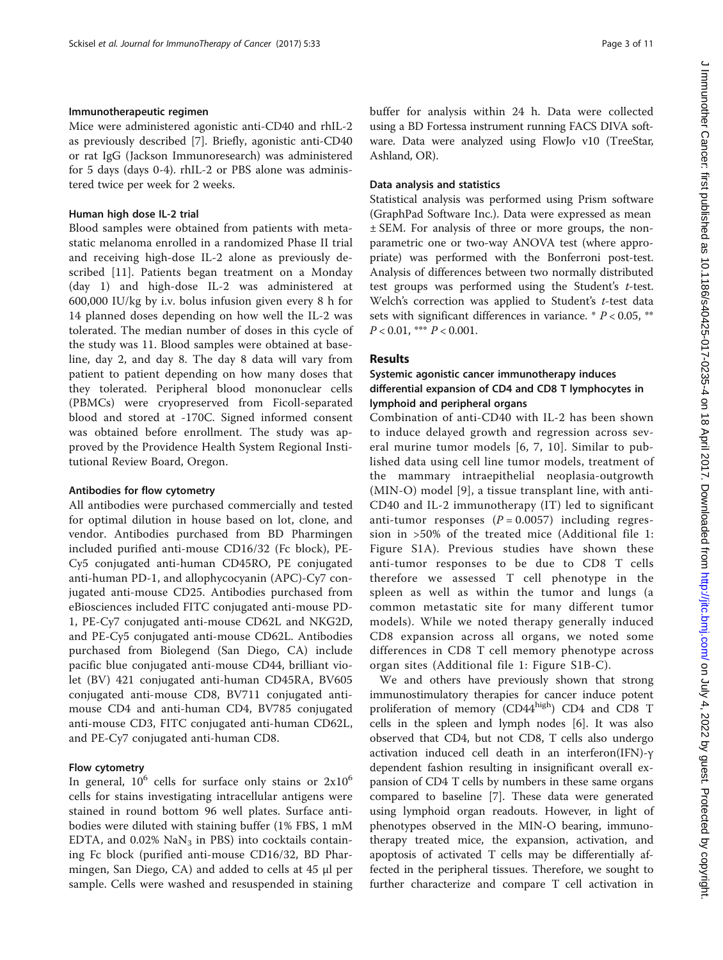#### Immunotherapeutic regimen

Mice were administered agonistic anti-CD40 and rhIL-2 as previously described [[7\]](#page-10-0). Briefly, agonistic anti-CD40 or rat IgG (Jackson Immunoresearch) was administered for 5 days (days 0-4). rhIL-2 or PBS alone was administered twice per week for 2 weeks.

#### Human high dose IL-2 trial

Blood samples were obtained from patients with metastatic melanoma enrolled in a randomized Phase II trial and receiving high-dose IL-2 alone as previously described [\[11](#page-10-0)]. Patients began treatment on a Monday (day 1) and high-dose IL-2 was administered at 600,000 IU/kg by i.v. bolus infusion given every 8 h for 14 planned doses depending on how well the IL-2 was tolerated. The median number of doses in this cycle of the study was 11. Blood samples were obtained at baseline, day 2, and day 8. The day 8 data will vary from patient to patient depending on how many doses that they tolerated. Peripheral blood mononuclear cells (PBMCs) were cryopreserved from Ficoll-separated blood and stored at -170C. Signed informed consent was obtained before enrollment. The study was approved by the Providence Health System Regional Institutional Review Board, Oregon.

#### Antibodies for flow cytometry

All antibodies were purchased commercially and tested for optimal dilution in house based on lot, clone, and vendor. Antibodies purchased from BD Pharmingen included purified anti-mouse CD16/32 (Fc block), PE-Cy5 conjugated anti-human CD45RO, PE conjugated anti-human PD-1, and allophycocyanin (APC)-Cy7 conjugated anti-mouse CD25. Antibodies purchased from eBiosciences included FITC conjugated anti-mouse PD-1, PE-Cy7 conjugated anti-mouse CD62L and NKG2D, and PE-Cy5 conjugated anti-mouse CD62L. Antibodies purchased from Biolegend (San Diego, CA) include pacific blue conjugated anti-mouse CD44, brilliant violet (BV) 421 conjugated anti-human CD45RA, BV605 conjugated anti-mouse CD8, BV711 conjugated antimouse CD4 and anti-human CD4, BV785 conjugated anti-mouse CD3, FITC conjugated anti-human CD62L, and PE-Cy7 conjugated anti-human CD8.

#### Flow cytometry

In general,  $10^6$  cells for surface only stains or  $2x10^6$ cells for stains investigating intracellular antigens were stained in round bottom 96 well plates. Surface antibodies were diluted with staining buffer (1% FBS, 1 mM EDTA, and  $0.02\%$  NaN<sub>3</sub> in PBS) into cocktails containing Fc block (purified anti-mouse CD16/32, BD Pharmingen, San Diego, CA) and added to cells at 45 μl per sample. Cells were washed and resuspended in staining buffer for analysis within 24 h. Data were collected using a BD Fortessa instrument running FACS DIVA software. Data were analyzed using FlowJo v10 (TreeStar, Ashland, OR).

#### Data analysis and statistics

Statistical analysis was performed using Prism software (GraphPad Software Inc.). Data were expressed as mean ± SEM. For analysis of three or more groups, the nonparametric one or two-way ANOVA test (where appropriate) was performed with the Bonferroni post-test. Analysis of differences between two normally distributed test groups was performed using the Student's t-test. Welch's correction was applied to Student's t-test data sets with significant differences in variance.  $* P < 0.05$ , \*\*  $P < 0.01$ , \*\*\*  $P < 0.001$ .

# Results

# Systemic agonistic cancer immunotherapy induces differential expansion of CD4 and CD8 T lymphocytes in lymphoid and peripheral organs

Combination of anti-CD40 with IL-2 has been shown to induce delayed growth and regression across several murine tumor models [\[6](#page-10-0), [7, 10\]](#page-10-0). Similar to published data using cell line tumor models, treatment of the mammary intraepithelial neoplasia-outgrowth (MIN-O) model [[9\]](#page-10-0), a tissue transplant line, with anti-CD40 and IL-2 immunotherapy (IT) led to significant anti-tumor responses  $(P = 0.0057)$  including regression in >50% of the treated mice (Additional file [1](#page-9-0): Figure S1A). Previous studies have shown these anti-tumor responses to be due to CD8 T cells therefore we assessed T cell phenotype in the spleen as well as within the tumor and lungs (a common metastatic site for many different tumor models). While we noted therapy generally induced CD8 expansion across all organs, we noted some differences in CD8 T cell memory phenotype across organ sites (Additional file [1:](#page-9-0) Figure S1B-C).

We and others have previously shown that strong immunostimulatory therapies for cancer induce potent proliferation of memory (CD44high) CD4 and CD8 T cells in the spleen and lymph nodes [[6\]](#page-10-0). It was also observed that CD4, but not CD8, T cells also undergo activation induced cell death in an interferon(IFN)-γ dependent fashion resulting in insignificant overall expansion of CD4 T cells by numbers in these same organs compared to baseline [[7\]](#page-10-0). These data were generated using lymphoid organ readouts. However, in light of phenotypes observed in the MIN-O bearing, immunotherapy treated mice, the expansion, activation, and apoptosis of activated T cells may be differentially affected in the peripheral tissues. Therefore, we sought to further characterize and compare T cell activation in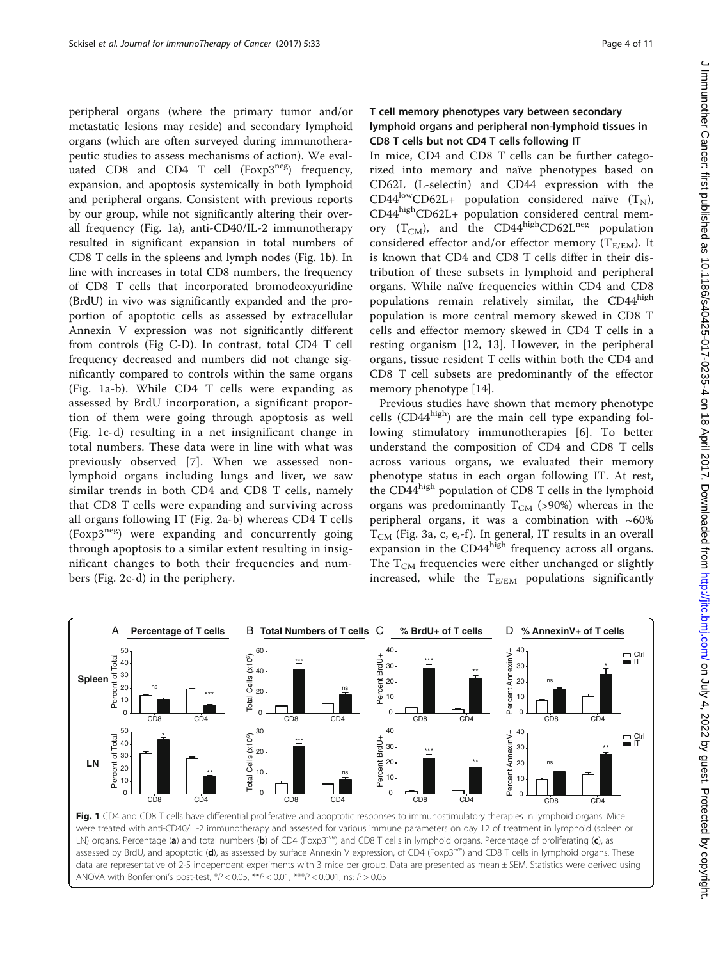peripheral organs (where the primary tumor and/or metastatic lesions may reside) and secondary lymphoid organs (which are often surveyed during immunotherapeutic studies to assess mechanisms of action). We evaluated CD8 and CD4 T cell  $(Foxp3^{neg})$  frequency, expansion, and apoptosis systemically in both lymphoid and peripheral organs. Consistent with previous reports by our group, while not significantly altering their overall frequency (Fig. 1a), anti-CD40/IL-2 immunotherapy resulted in significant expansion in total numbers of CD8 T cells in the spleens and lymph nodes (Fig. 1b). In line with increases in total CD8 numbers, the frequency of CD8 T cells that incorporated bromodeoxyuridine (BrdU) in vivo was significantly expanded and the proportion of apoptotic cells as assessed by extracellular Annexin V expression was not significantly different from controls (Fig C-D). In contrast, total CD4 T cell frequency decreased and numbers did not change significantly compared to controls within the same organs (Fig. 1a-b). While CD4 T cells were expanding as assessed by BrdU incorporation, a significant proportion of them were going through apoptosis as well (Fig. 1c-d) resulting in a net insignificant change in total numbers. These data were in line with what was previously observed [[7\]](#page-10-0). When we assessed nonlymphoid organs including lungs and liver, we saw similar trends in both CD4 and CD8 T cells, namely that CD8 T cells were expanding and surviving across all organs following IT (Fig. [2a-b](#page-4-0)) whereas CD4 T cells (Foxp3neg) were expanding and concurrently going through apoptosis to a similar extent resulting in insignificant changes to both their frequencies and numbers (Fig. [2c-d](#page-4-0)) in the periphery.

# T cell memory phenotypes vary between secondary lymphoid organs and peripheral non-lymphoid tissues in CD8 T cells but not CD4 T cells following IT

In mice, CD4 and CD8 T cells can be further categorized into memory and naïve phenotypes based on CD62L (L-selectin) and CD44 expression with the CD44<sup>low</sup>CD62L+ population considered naïve  $(T_N)$ , CD44highCD62L+ population considered central memory  $(T_{CM})$ , and the CD44<sup>high</sup>CD62L<sup>neg</sup> population considered effector and/or effector memory  $(T_{E/EM})$ . It is known that CD4 and CD8 T cells differ in their distribution of these subsets in lymphoid and peripheral organs. While naïve frequencies within CD4 and CD8 populations remain relatively similar, the CD44<sup>high</sup> population is more central memory skewed in CD8 T cells and effector memory skewed in CD4 T cells in a resting organism [\[12, 13\]](#page-10-0). However, in the peripheral organs, tissue resident T cells within both the CD4 and CD8 T cell subsets are predominantly of the effector memory phenotype [[14\]](#page-10-0).

Previous studies have shown that memory phenotype cells  $(CD44^{high})$  are the main cell type expanding following stimulatory immunotherapies [[6\]](#page-10-0). To better understand the composition of CD4 and CD8 T cells across various organs, we evaluated their memory phenotype status in each organ following IT. At rest, the CD44<sup>high</sup> population of CD8 T cells in the lymphoid organs was predominantly  $T_{CM}$  (>90%) whereas in the peripheral organs, it was a combination with  $~60\%$  $T_{CM}$  (Fig. [3a, c, e,-f](#page-5-0)). In general, IT results in an overall expansion in the CD44high frequency across all organs. The  $T_{CM}$  frequencies were either unchanged or slightly increased, while the  $T_{E/EM}$  populations significantly



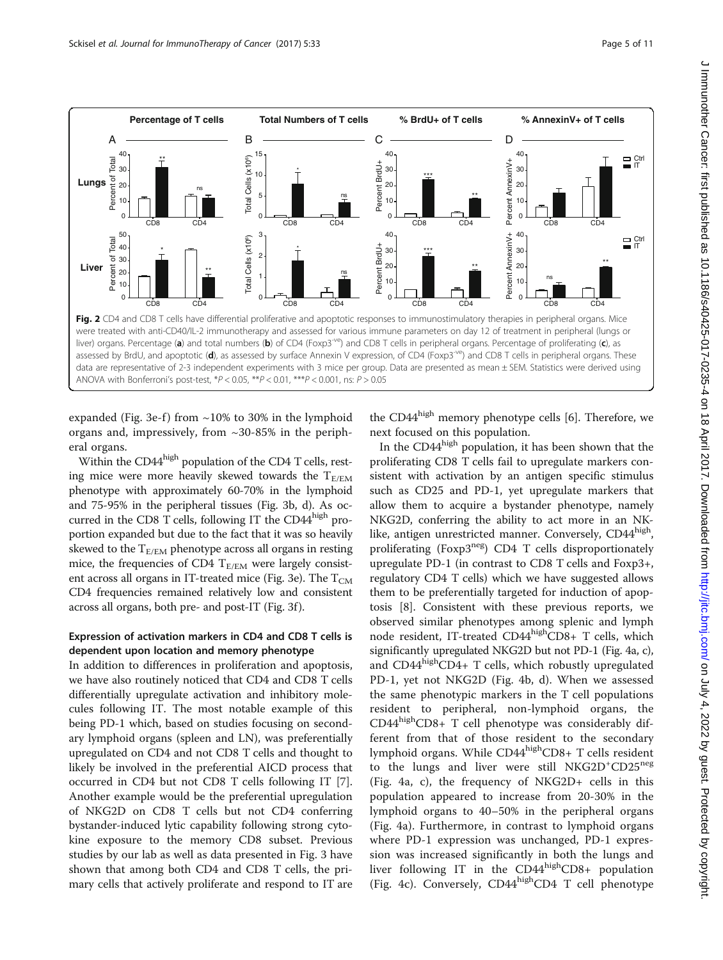<span id="page-4-0"></span>

expanded (Fig. [3e-f](#page-5-0)) from  $\sim$ 10% to 30% in the lymphoid organs and, impressively, from ~30-85% in the peripheral organs.

Within the CD44<sup>high</sup> population of the CD4 T cells, resting mice were more heavily skewed towards the  $T_{E/EM}$ phenotype with approximately 60-70% in the lymphoid and 75-95% in the peripheral tissues (Fig. [3b, d](#page-5-0)). As occurred in the CD8 T cells, following IT the  $CD44<sup>high</sup>$  proportion expanded but due to the fact that it was so heavily skewed to the  $T_{E/EM}$  phenotype across all organs in resting mice, the frequencies of CD4  $T_{E/EM}$  were largely consist-ent across all organs in IT-treated mice (Fig. [3e](#page-5-0)). The  $T_{CM}$ CD4 frequencies remained relatively low and consistent across all organs, both pre- and post-IT (Fig. [3f](#page-5-0) ).

#### Expression of activation markers in CD4 and CD8 T cells is dependent upon location and memory phenotype

In addition to differences in proliferation and apoptosis, we have also routinely noticed that CD4 and CD8 T cells differentially upregulate activation and inhibitory molecules following IT. The most notable example of this being PD-1 which, based on studies focusing on secondary lymphoid organs (spleen and LN), was preferentially upregulated on CD4 and not CD8 T cells and thought to likely be involved in the preferential AICD process that occurred in CD4 but not CD8 T cells following IT [\[7](#page-10-0)]. Another example would be the preferential upregulation of NKG2D on CD8 T cells but not CD4 conferring bystander-induced lytic capability following strong cytokine exposure to the memory CD8 subset. Previous studies by our lab as well as data presented in Fig. [3](#page-5-0) have shown that among both CD4 and CD8 T cells, the primary cells that actively proliferate and respond to IT are the CD44<sup>high</sup> memory phenotype cells [\[6](#page-10-0)]. Therefore, we next focused on this population.

In the  $CD44<sup>high</sup>$  population, it has been shown that the proliferating CD8 T cells fail to upregulate markers consistent with activation by an antigen specific stimulus such as CD25 and PD-1, yet upregulate markers that allow them to acquire a bystander phenotype, namely NKG2D, conferring the ability to act more in an NKlike, antigen unrestricted manner. Conversely, CD44high, proliferating (Foxp3neg) CD4 T cells disproportionately upregulate PD-1 (in contrast to CD8 T cells and Foxp3+, regulatory CD4 T cells) which we have suggested allows them to be preferentially targeted for induction of apoptosis [\[8](#page-10-0)]. Consistent with these previous reports, we observed similar phenotypes among splenic and lymph node resident, IT-treated CD44highCD8+ T cells, which significantly upregulated NKG2D but not PD-1 (Fig. [4a, c\)](#page-6-0), and  $CD44<sup>high</sup>CD4+T$  cells, which robustly upregulated PD-1, yet not NKG2D (Fig. [4b, d](#page-6-0)). When we assessed the same phenotypic markers in the T cell populations resident to peripheral, non-lymphoid organs, the  $CD44<sup>high</sup>CD8+ T$  cell phenotype was considerably different from that of those resident to the secondary lymphoid organs. While CD44<sup>high</sup>CD8+ T cells resident to the lungs and liver were still NKG2D<sup>+</sup>CD25<sup>neg</sup> (Fig. [4a, c\)](#page-6-0), the frequency of NKG2D+ cells in this population appeared to increase from 20-30% in the lymphoid organs to 40–50% in the peripheral organs (Fig. [4a](#page-6-0)). Furthermore, in contrast to lymphoid organs where PD-1 expression was unchanged, PD-1 expression was increased significantly in both the lungs and liver following IT in the  $CD44<sup>high</sup>CD8+$  population (Fig. [4c\)](#page-6-0). Conversely,  $CD44<sup>high</sup>CD4 T$  cell phenotype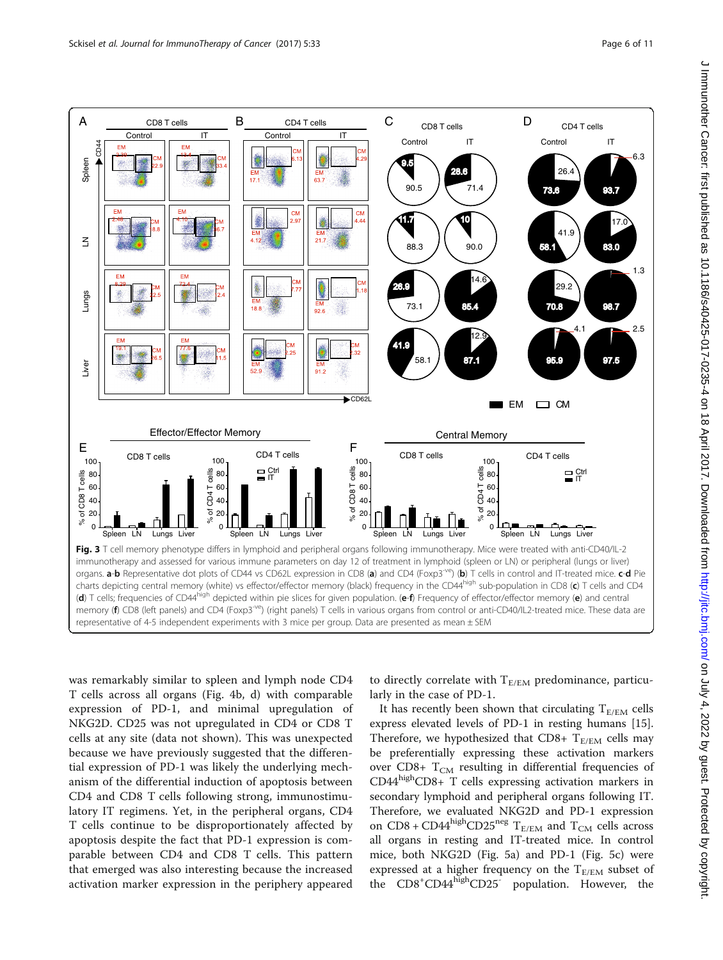<span id="page-5-0"></span>

was remarkably similar to spleen and lymph node CD4 T cells across all organs (Fig. [4b, d\)](#page-6-0) with comparable expression of PD-1, and minimal upregulation of NKG2D. CD25 was not upregulated in CD4 or CD8 T cells at any site (data not shown). This was unexpected because we have previously suggested that the differential expression of PD-1 was likely the underlying mechanism of the differential induction of apoptosis between CD4 and CD8 T cells following strong, immunostimulatory IT regimens. Yet, in the peripheral organs, CD4 T cells continue to be disproportionately affected by apoptosis despite the fact that PD-1 expression is comparable between CD4 and CD8 T cells. This pattern that emerged was also interesting because the increased activation marker expression in the periphery appeared

to directly correlate with  $T_{E/EM}$  predominance, particularly in the case of PD-1.

It has recently been shown that circulating  $T_{E/EM}$  cells express elevated levels of PD-1 in resting humans [\[15](#page-10-0)]. Therefore, we hypothesized that CD8+  $T_{E/EM}$  cells may be preferentially expressing these activation markers over CD8+  $T_{CM}$  resulting in differential frequencies of  $CD44<sup>high</sup>CD8+T$  cells expressing activation markers in secondary lymphoid and peripheral organs following IT. Therefore, we evaluated NKG2D and PD-1 expression on CD8 + CD44  ${\rm high}$ CD25neg  ${\rm T_{E/EM}}$  and  ${\rm T_{CM}}$  cells across all organs in resting and IT-treated mice. In control mice, both NKG2D (Fig. [5a](#page-6-0)) and PD-1 (Fig. [5c](#page-6-0)) were expressed at a higher frequency on the  $T_{E/EM}$  subset of the CD8<sup>+</sup>CD44<sup>high</sup>CD25<sup>-</sup> population. However, the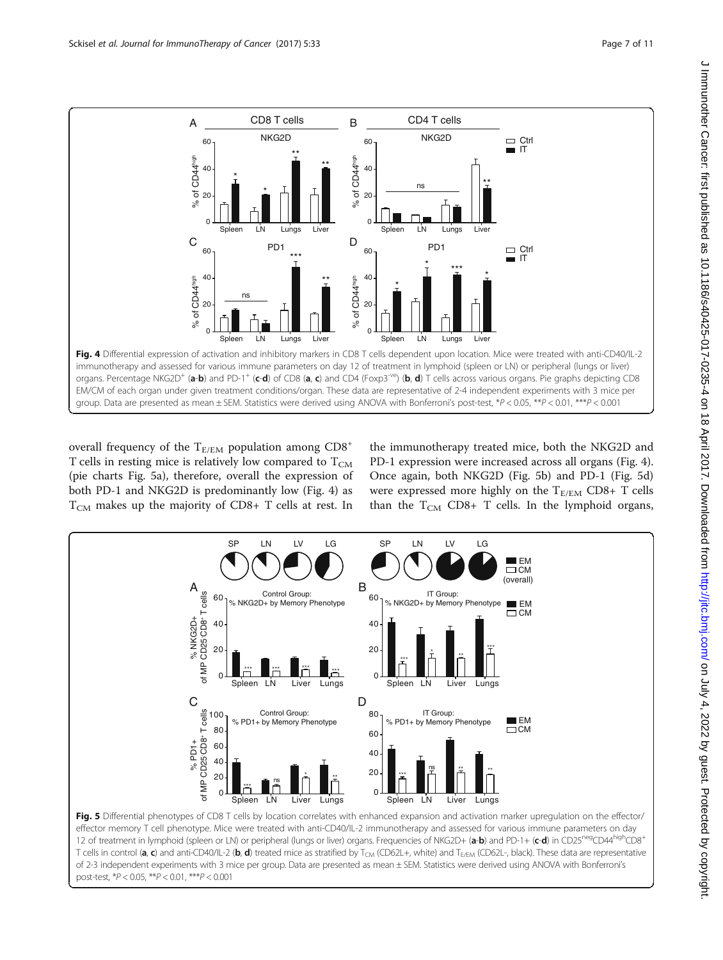<span id="page-6-0"></span>

overall frequency of the  $T_{E/EM}$  population among  $CD8^+$ T cells in resting mice is relatively low compared to  $T_{CM}$ (pie charts Fig. 5a), therefore, overall the expression of both PD-1 and NKG2D is predominantly low (Fig. 4) as  $T_{CM}$  makes up the majority of CD8+ T cells at rest. In the immunotherapy treated mice, both the NKG2D and PD-1 expression were increased across all organs (Fig. 4). Once again, both NKG2D (Fig. 5b) and PD-1 (Fig. 5d) were expressed more highly on the  $T_{E/EM}$  CD8+ T cells than the  $T_{CM}$  CD8+ T cells. In the lymphoid organs,



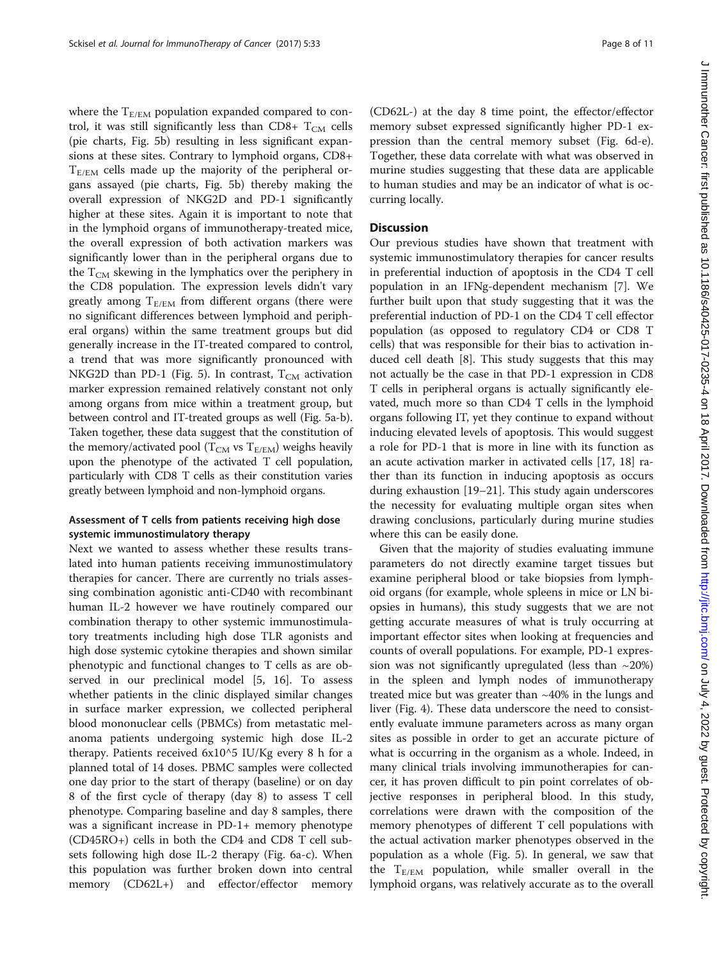where the  $T_{E/EM}$  population expanded compared to control, it was still significantly less than CD8+  $T_{CM}$  cells (pie charts, Fig. [5b](#page-6-0)) resulting in less significant expansions at these sites. Contrary to lymphoid organs, CD8+  $T_{E/EM}$  cells made up the majority of the peripheral organs assayed (pie charts, Fig. [5b](#page-6-0)) thereby making the overall expression of NKG2D and PD-1 significantly higher at these sites. Again it is important to note that in the lymphoid organs of immunotherapy-treated mice, the overall expression of both activation markers was significantly lower than in the peripheral organs due to the  $T_{CM}$  skewing in the lymphatics over the periphery in the CD8 population. The expression levels didn't vary greatly among  $T_{E/EM}$  from different organs (there were no significant differences between lymphoid and peripheral organs) within the same treatment groups but did generally increase in the IT-treated compared to control, a trend that was more significantly pronounced with NKG2D than PD-1 (Fig. [5\)](#page-6-0). In contrast,  $T_{CM}$  activation marker expression remained relatively constant not only among organs from mice within a treatment group, but between control and IT-treated groups as well (Fig. [5a-b](#page-6-0)). Taken together, these data suggest that the constitution of the memory/activated pool ( $T_{CM}$  vs  $T_{E/EM}$ ) weighs heavily upon the phenotype of the activated T cell population, particularly with CD8 T cells as their constitution varies greatly between lymphoid and non-lymphoid organs.

#### Assessment of T cells from patients receiving high dose systemic immunostimulatory therapy

Next we wanted to assess whether these results translated into human patients receiving immunostimulatory therapies for cancer. There are currently no trials assessing combination agonistic anti-CD40 with recombinant human IL-2 however we have routinely compared our combination therapy to other systemic immunostimulatory treatments including high dose TLR agonists and high dose systemic cytokine therapies and shown similar phenotypic and functional changes to T cells as are observed in our preclinical model [\[5](#page-10-0), [16](#page-10-0)]. To assess whether patients in the clinic displayed similar changes in surface marker expression, we collected peripheral blood mononuclear cells (PBMCs) from metastatic melanoma patients undergoing systemic high dose IL-2 therapy. Patients received 6x10^5 IU/Kg every 8 h for a planned total of 14 doses. PBMC samples were collected one day prior to the start of therapy (baseline) or on day 8 of the first cycle of therapy (day 8) to assess T cell phenotype. Comparing baseline and day 8 samples, there was a significant increase in PD-1+ memory phenotype (CD45RO+) cells in both the CD4 and CD8 T cell subsets following high dose IL-2 therapy (Fig. [6a-c](#page-8-0)). When this population was further broken down into central memory (CD62L+) and effector/effector memory

(CD62L-) at the day 8 time point, the effector/effector memory subset expressed significantly higher PD-1 expression than the central memory subset (Fig. [6d-e](#page-8-0)). Together, these data correlate with what was observed in murine studies suggesting that these data are applicable to human studies and may be an indicator of what is occurring locally.

#### **Discussion**

Our previous studies have shown that treatment with systemic immunostimulatory therapies for cancer results in preferential induction of apoptosis in the CD4 T cell population in an IFNg-dependent mechanism [[7\]](#page-10-0). We further built upon that study suggesting that it was the preferential induction of PD-1 on the CD4 T cell effector population (as opposed to regulatory CD4 or CD8 T cells) that was responsible for their bias to activation induced cell death [\[8](#page-10-0)]. This study suggests that this may not actually be the case in that PD-1 expression in CD8 T cells in peripheral organs is actually significantly elevated, much more so than CD4 T cells in the lymphoid organs following IT, yet they continue to expand without inducing elevated levels of apoptosis. This would suggest a role for PD-1 that is more in line with its function as an acute activation marker in activated cells [[17, 18](#page-10-0)] rather than its function in inducing apoptosis as occurs during exhaustion [\[19](#page-10-0)–[21\]](#page-10-0). This study again underscores the necessity for evaluating multiple organ sites when drawing conclusions, particularly during murine studies where this can be easily done.

Given that the majority of studies evaluating immune parameters do not directly examine target tissues but examine peripheral blood or take biopsies from lymphoid organs (for example, whole spleens in mice or LN biopsies in humans), this study suggests that we are not getting accurate measures of what is truly occurring at important effector sites when looking at frequencies and counts of overall populations. For example, PD-1 expression was not significantly upregulated (less than  $\sim$ 20%) in the spleen and lymph nodes of immunotherapy treated mice but was greater than ~40% in the lungs and liver (Fig. [4](#page-6-0)). These data underscore the need to consistently evaluate immune parameters across as many organ sites as possible in order to get an accurate picture of what is occurring in the organism as a whole. Indeed, in many clinical trials involving immunotherapies for cancer, it has proven difficult to pin point correlates of objective responses in peripheral blood. In this study, correlations were drawn with the composition of the memory phenotypes of different T cell populations with the actual activation marker phenotypes observed in the population as a whole (Fig. [5](#page-6-0)). In general, we saw that the  $T_{E/EM}$  population, while smaller overall in the lymphoid organs, was relatively accurate as to the overall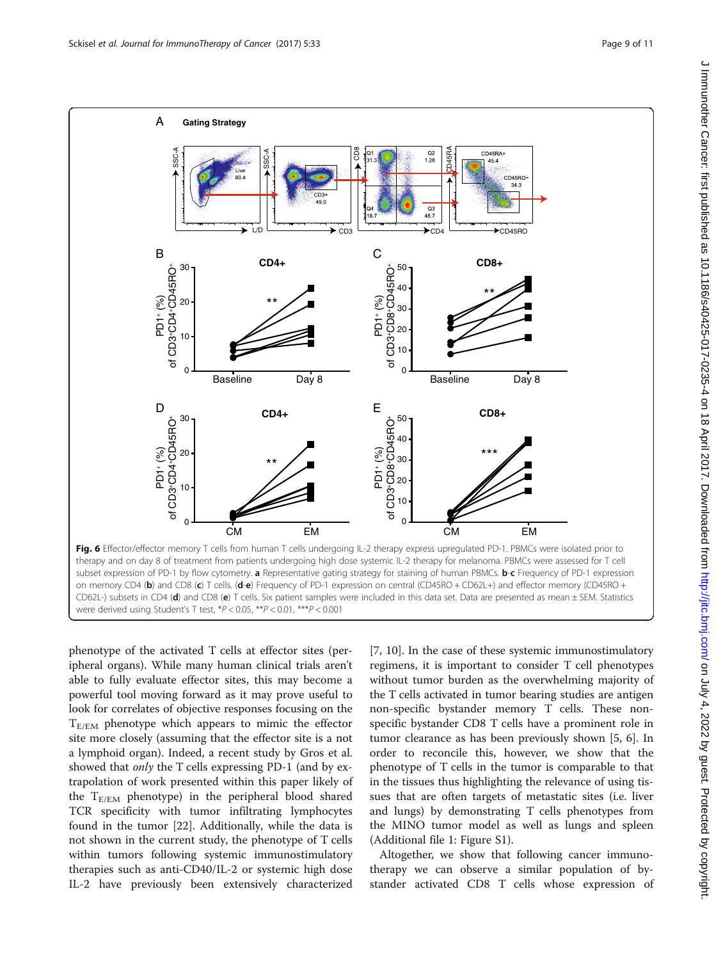<span id="page-8-0"></span>

were derived using Student's T test, \*P < 0.05, \*\*P < 0.01, \*\*\*P < 0.001

phenotype of the activated T cells at effector sites (peripheral organs). While many human clinical trials aren't able to fully evaluate effector sites, this may become a powerful tool moving forward as it may prove useful to look for correlates of objective responses focusing on the  $T_{E/EM}$  phenotype which appears to mimic the effector site more closely (assuming that the effector site is a not a lymphoid organ). Indeed, a recent study by Gros et al. showed that *only* the T cells expressing PD-1 (and by extrapolation of work presented within this paper likely of the  $T_{E/EM}$  phenotype) in the peripheral blood shared TCR specificity with tumor infiltrating lymphocytes found in the tumor [[22](#page-10-0)]. Additionally, while the data is not shown in the current study, the phenotype of T cells within tumors following systemic immunostimulatory therapies such as anti-CD40/IL-2 or systemic high dose IL-2 have previously been extensively characterized

[[7, 10\]](#page-10-0). In the case of these systemic immunostimulatory regimens, it is important to consider T cell phenotypes without tumor burden as the overwhelming majority of the T cells activated in tumor bearing studies are antigen non-specific bystander memory T cells. These nonspecific bystander CD8 T cells have a prominent role in tumor clearance as has been previously shown [[5](#page-10-0), [6](#page-10-0)]. In order to reconcile this, however, we show that the phenotype of T cells in the tumor is comparable to that in the tissues thus highlighting the relevance of using tissues that are often targets of metastatic sites (i.e. liver and lungs) by demonstrating T cells phenotypes from the MINO tumor model as well as lungs and spleen (Additional file [1](#page-9-0): Figure S1).

Altogether, we show that following cancer immunotherapy we can observe a similar population of bystander activated CD8 T cells whose expression of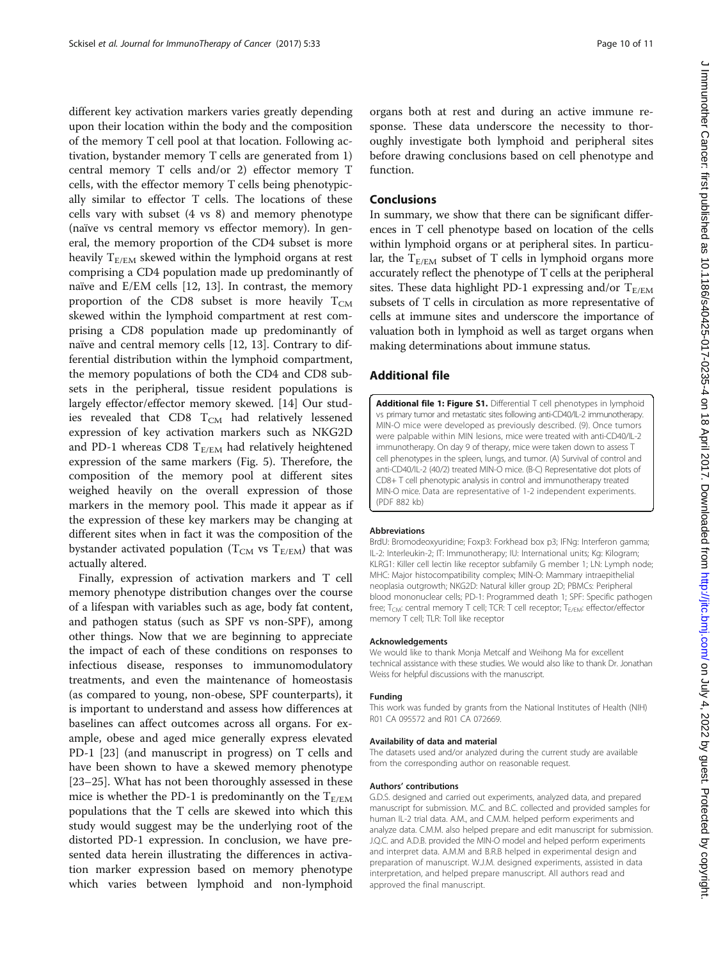<span id="page-9-0"></span>different key activation markers varies greatly depending upon their location within the body and the composition of the memory T cell pool at that location. Following activation, bystander memory T cells are generated from 1) central memory T cells and/or 2) effector memory T cells, with the effector memory T cells being phenotypically similar to effector T cells. The locations of these cells vary with subset (4 vs 8) and memory phenotype (naïve vs central memory vs effector memory). In general, the memory proportion of the CD4 subset is more heavily  $T_{E/EM}$  skewed within the lymphoid organs at rest comprising a CD4 population made up predominantly of naïve and E/EM cells [\[12, 13\]](#page-10-0). In contrast, the memory proportion of the CD8 subset is more heavily  $T_{CM}$ skewed within the lymphoid compartment at rest comprising a CD8 population made up predominantly of naïve and central memory cells [[12, 13\]](#page-10-0). Contrary to differential distribution within the lymphoid compartment, the memory populations of both the CD4 and CD8 subsets in the peripheral, tissue resident populations is largely effector/effector memory skewed. [\[14](#page-10-0)] Our studies revealed that CD8  $T_{CM}$  had relatively lessened expression of key activation markers such as NKG2D and PD-1 whereas CD8  $T_{E/EM}$  had relatively heightened expression of the same markers (Fig. [5\)](#page-6-0). Therefore, the composition of the memory pool at different sites weighed heavily on the overall expression of those markers in the memory pool. This made it appear as if the expression of these key markers may be changing at different sites when in fact it was the composition of the bystander activated population ( $T_{CM}$  vs  $T_{E/EM}$ ) that was actually altered.

Finally, expression of activation markers and T cell memory phenotype distribution changes over the course of a lifespan with variables such as age, body fat content, and pathogen status (such as SPF vs non-SPF), among other things. Now that we are beginning to appreciate the impact of each of these conditions on responses to infectious disease, responses to immunomodulatory treatments, and even the maintenance of homeostasis (as compared to young, non-obese, SPF counterparts), it is important to understand and assess how differences at baselines can affect outcomes across all organs. For example, obese and aged mice generally express elevated PD-1 [\[23](#page-10-0)] (and manuscript in progress) on T cells and have been shown to have a skewed memory phenotype [[23](#page-10-0)–[25](#page-10-0)]. What has not been thoroughly assessed in these mice is whether the PD-1 is predominantly on the  $T_{E/EM}$ populations that the T cells are skewed into which this study would suggest may be the underlying root of the distorted PD-1 expression. In conclusion, we have presented data herein illustrating the differences in activation marker expression based on memory phenotype which varies between lymphoid and non-lymphoid organs both at rest and during an active immune response. These data underscore the necessity to thoroughly investigate both lymphoid and peripheral sites before drawing conclusions based on cell phenotype and function.

#### Conclusions

In summary, we show that there can be significant differences in T cell phenotype based on location of the cells within lymphoid organs or at peripheral sites. In particular, the  $T_{E/EM}$  subset of T cells in lymphoid organs more accurately reflect the phenotype of T cells at the peripheral sites. These data highlight PD-1 expressing and/or  $T_{E/EM}$ subsets of T cells in circulation as more representative of cells at immune sites and underscore the importance of valuation both in lymphoid as well as target organs when making determinations about immune status.

#### Additional file

[Additional file 1: Figure S1.](dx.doi.org/10.1186/s40425-017-0235-4) Differential T cell phenotypes in lymphoid vs primary tumor and metastatic sites following anti-CD40/IL-2 immunotherapy. MIN-O mice were developed as previously described. (9). Once tumors were palpable within MIN lesions, mice were treated with anti-CD40/IL-2 immunotherapy. On day 9 of therapy, mice were taken down to assess T cell phenotypes in the spleen, lungs, and tumor. (A) Survival of control and anti-CD40/IL-2 (40/2) treated MIN-O mice. (B-C) Representative dot plots of CD8+ T cell phenotypic analysis in control and immunotherapy treated MIN-O mice. Data are representative of 1-2 independent experiments. (PDF 882 kb)

#### Abbreviations

BrdU: Bromodeoxyuridine; Foxp3: Forkhead box p3; IFNg: Interferon gamma; IL-2: Interleukin-2; IT: Immunotherapy; IU: International units; Kg: Kilogram; KLRG1: Killer cell lectin like receptor subfamily G member 1; LN: Lymph node; MHC: Major histocompatibility complex; MIN-O: Mammary intraepithelial neoplasia outgrowth; NKG2D: Natural killer group 2D; PBMCs: Peripheral blood mononuclear cells; PD-1: Programmed death 1; SPF: Specific pathogen free;  $T_{CM}$ : central memory T cell; TCR: T cell receptor;  $T_{E/EM}$ : effector/effector memory T cell; TLR: Toll like receptor

#### Acknowledgements

We would like to thank Monja Metcalf and Weihong Ma for excellent technical assistance with these studies. We would also like to thank Dr. Jonathan Weiss for helpful discussions with the manuscript.

#### Funding

This work was funded by grants from the National Institutes of Health (NIH) R01 CA 095572 and R01 CA 072669.

#### Availability of data and material

The datasets used and/or analyzed during the current study are available from the corresponding author on reasonable request.

#### Authors' contributions

G.D.S. designed and carried out experiments, analyzed data, and prepared manuscript for submission. M.C. and B.C. collected and provided samples for human IL-2 trial data. A.M., and C.M.M. helped perform experiments and analyze data. C.M.M. also helped prepare and edit manuscript for submission. J.Q.C. and A.D.B. provided the MIN-O model and helped perform experiments and interpret data. A.M.M and B.R.B helped in experimental design and preparation of manuscript. W.J.M. designed experiments, assisted in data interpretation, and helped prepare manuscript. All authors read and approved the final manuscript.